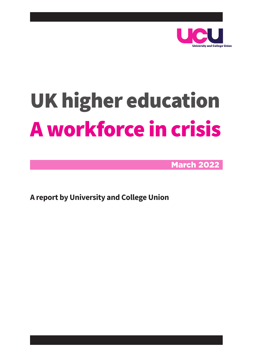

# UK higher education A workforce in crisis

March 2022

**A report by University and College Union**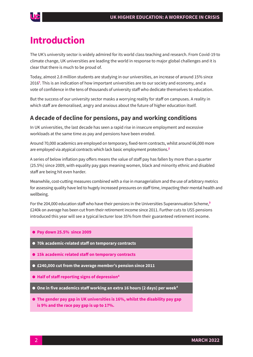

## **Introduction**

The UK's university sector is widely admired for its world class teaching and research. From Covid-19 to climate change, UK universities are leading the world in response to major global challenges and it is clear that there is much to be proud of.

Today, almost 2.8 million students are studying in our universities, an increase of around 15% since 2016**<sup>1</sup>** . This is an indication of how important universities are to our society and economy, and a vote of confidence in the tens of thousands of university staff who dedicate themselves to education.

But the success of our university sector masks a worrying reality for staff on campuses. A reality in which staff are demoralised, angry and anxious about the future of higher education itself.

#### **A decade of decline for pensions, pay and working conditions**

In UK universities, the last decade has seen a rapid rise in insecure employment and excessive workloads at the same time as pay and pensions have been eroded.

Around 70,000 academics are employed on temporary, fixed-term contracts, whilst around 66,000 more are employed via atypical contracts which lack basic employment protections. **2**

A series of below inflation pay offers means the value of staff pay has fallen by more than a quarter (25.5%) since 2009, with equality pay gaps meaning women, black and minority ethnic and disabled staff are being hit even harder.

Meanwhile, cost-cutting measures combined with a rise in managerialism and the use of arbitrary metrics for assessing quality have led to hugely increased pressures on staff time, impacting their mental health and wellbeing.

For the 204,000 education staff who have their pensions in the Universities Superannuation Scheme,**<sup>3</sup>** £240k on average has been cut from their retirement income since 2011. Further cuts to USS pensions introduced this year will see a typical lecturer lose 35% from their guaranteed retirement income.

- l **Pay down 25.5% since 2009**
- l **70k academic-related staff on temporary contracts**
- l **15k academic related staff on temporary contracts**
- £240,000 cut from the average member's pension since 2011
- l **Half of staff reporting signs of depression<sup>4</sup>**
- l **One in five academics staff working an extra 16 hours (2 days) per week<sup>4</sup>**
- **The gender pay gap in UK universities is 16%, whilst the disability pay gap is 9% and the race pay gap is up to 17%.**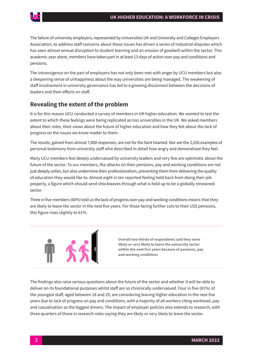

The failure of university employers, represented by Universities UK and University and Colleges Employers Association, to address staff concerns about these issues has driven a series of industrial disputes which has seen almost annual disruption to student learning and an erosion of goodwill within the sector. This academic year alone, members have taken part in at least 13 days of action over pay and conditions and pensions.

The intransigence on the part of employers has not only been met with anger by UCU members but also a deepening sense of unhappiness about the way universities are being managed. The weakening of staff involvement in university governance has led to a growing disconnect between the decisions of leaders and their effects on staff.

## **Revealing the extent of the problem**

It is for this reason UCU conducted a survey of members in UK higher education. We wanted to test the extent to which these feelings were being replicated across universities in the UK. We asked members about their roles, their views about the future of higher education and how they felt about the lack of progress on the issues we know matter to them.

The results, gained from almost 7,000 responses, are not for the faint hearted. Nor are the 2,036 examples of personal testimony from university staff who described in detail how angry and demoralised they feel.

Many UCU members feel deeply undervalued by university leaders and very few are optimistic about the future of the sector. To our members, the attacks on their pensions, pay and working conditions are not just deeply unfair, but also undermine their professionalism, preventing them from delivering the quality of education they would like to. Almost eight in ten reported feeling held back from doing their job properly, a figure which should send shockwaves through what is held up to be a globally renowned sector.

Three in five members (60%) told us the lack of progress over pay and working conditions means that they are likely to leave the sector in the next five years. For those facing further cuts to their USS pensions, this figure rises slightly to 61%.



**Overall two-thirds of respondents said they were likely or very likely to leave the university sector within the next five years because of pensions, pay and working conditions**

The findings also raise serious questions about the future of the sector and whether it will be able to deliver on its foundational purposes whilst staff are so chronically undervalued. Four in five (81%) of the youngest staff, aged between 18 and 29, are considering leaving higher education in the next five years due to lack of progress on pay and conditions, with a majority of all workers citing workload, pay and casualisation as the biggest drivers. The impact of employer policies also extends to research, with three quarters of those in research roles saying they are likely or very likely to leave the sector.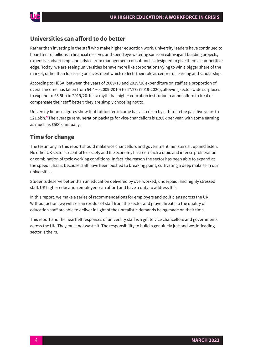#### **Universities can afford to do better**

Rather than investing in the staff who make higher education work, university leaders have continued to hoard tens of billions in financial reserves and spend eye-watering sums on extravagant building projects, expensive advertising, and advice from management consultancies designed to give them a competitive edge. Today, we are seeing universities behave more like corporations vying to win a bigger share of the market, rather than focussing on investment which reflects their role as centres of learning and scholarship.

According to HESA, between the years of 2009/10 and 2019/20 expenditure on staff as a proportion of overall income has fallen from 54.4% (2009-2010) to 47.2% (2019-2020), allowing sector-wide surpluses to expand to £3.5bn in 2019/20. It is a myth that higher education institutions cannot afford to treat or compensate their staff better; they are simply choosing not to.

University finance figures show that tuition fee income has also risen by a third in the past five years to £21.5bn.**<sup>3</sup>** The average remuneration package for vice-chancellors is £269k per year, with some earning as much as £500k annually.

## **Time for change**

The testimony in this report should make vice chancellors and government ministers sit up and listen. No other UK sector so central to society and the economy has seen such a rapid and intense proliferation or combination of toxic working conditions. In fact, the reason the sector has been able to expand at the speed it has is because staff have been pushed to breaking point, cultivating a deep malaise in our universities.

Students deserve better than an education delivered by overworked, underpaid, and highly stressed staff. UK higher education employers can afford and have a duty to address this.

In this report, we make a series of recommendations for employers and politicians across the UK. Without action, we will see an exodus of staff from the sector and grave threats to the quality of education staff are able to deliver in light of the unrealistic demands being made on their time.

This report and the heartfelt responses of university staff is a gift to vice chancellors and governments across the UK. They must not waste it. The responsibility to build a genuinely just and world-leading sector is theirs.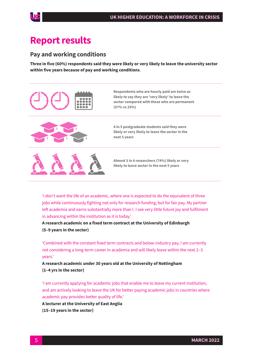## **Report results**

#### **Pay and working conditions**

**Three in five (60%) respondents said they were likely or very likely to leave the university sector within five years because of pay and working conditions**.







**4 in 5 postgraduate students said they were likely or very likely to leave the sector in the next 5 years**



**Almost 3 in 4 researchers (74%) likely or very likely to leave sector in the next 5 years**

'I don't want the life of an academic, where one is expected to do the equivalent of three jobs while continuously fighting not only for research funding, but for fair pay. My partner left academia and earns substantially more than I. I see very little future joy and fulfilment in advancing within the institution as it is today.'

**A research academic on a fixed term contract at the University of Edinburgh (5–9 years in the sector)**

'Combined with the constant fixed term contracts and below-industry pay, I am currently not considering a long-term career in academia and will likely leave within the next 2–3 years.'

**A research academic under 30 years old at the University of Nottingham (1–4 yrs in the sector)**

'I am currently applying for academic jobs that enable me to leave my current institution, and am actively looking to leave the UK for better paying academic jobs in countries where academic pay provides better quality of life.'

**A lecturer at the University of East Anglia (15–19 years in the sector)**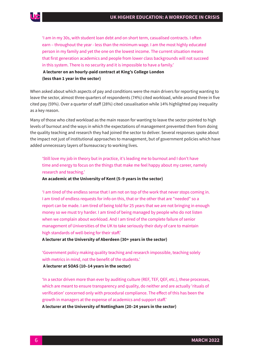'I am in my 30s, with student loan debt and on short term, casualised contracts. I often earn – throughout the year - less than the minimum wage. I am the most highly educated person in my family and yet the one on the lowest income. The current situation means that first generation academics and people from lower class backgrounds will not succeed in this system. There is no security and it is impossible to have a family.'

 **A lecturer on an hourly-paid contract at King's College London (less than 1 year in the sector)**

When asked about which aspects of pay and conditions were the main drivers for reporting wanting to leave the sector, almost three quarters of respondents (74%) cited workload, while around three in five cited pay (59%). Over a quarter of staff (28%) cited casualisation while 14% highlighted pay inequality as a key reason.

Many of those who cited workload as the main reason for wanting to leave the sector pointed to high levels of burnout and the ways in which the expectations of management prevented them from doing the quality teaching and research they had joined the sector to deliver. Several responses spoke about the impact not just of institutional approaches to management, but of government policies which have added unnecessary layers of bureaucracy to working lives.

'Still love my job in theory but in practice, it's leading me to burnout and I don't have time and energy to focus on the things that make me feel happy about my career, namely research and teaching.'

**An academic at the University of Kent (5–9 years in the sector)** 

'I am tired of the endless sense that I am not on top of the work that never stops coming in. I am tired of endless requests for info on this, that or the other that are "needed" so a report can be made. I am tired of being told for 25 years that we are not bringing in enough money so we must try harder. I am tired of being managed by people who do not listen when we complain about workload. And I am tired of the complete failure of senior management of Universities of the UK to take seriously their duty of care to maintain high standards of well-being for their staff.'

**A lecturer at the University of Aberdeen (30+ years in the sector)** 

'Government policy making quality teaching and research impossible, teaching solely with metrics in mind, not the benefit of the students.'

 **A lecturer at SOAS (10–14 years in the sector)** 

'In a sector driven more than ever by auditing culture (REF, TEF, QEF, etc.), these processes, which are meant to ensure transparency and quality, do neither and are actually 'rituals of verification' concerned only with procedural compliance. The effect of this has been the growth in managers at the expense of academics and support staff.'

**A lecturer at the University of Nottingham (20–24 years in the sector)**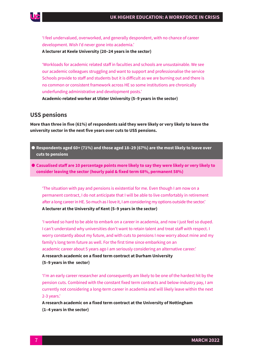

'I feel undervalued, overworked, and generally despondent, with no chance of career development. Wish I'd never gone into academia.'

**A lecturer at Keele University (20–24 years in the sector)** 

'Workloads for academic related staff in faculties and schools are unsustainable. We see our academic colleagues struggling and want to support and professionalise the service Schools provide to staff and students but it is difficult as we are burning out and there is no common or consistent framework across HE so some institutions are chronically underfunding administrative and development posts.'

**Academic-related worker at Ulster University (5–9 years in the sector)** 

#### **USS pensions**

**More than three in five (61%) of respondents said they were likely or very likely to leave the university sector in the next five years over cuts to USS pensions.**

- l **Respondents aged 60+ (71%) and those aged 18–29 (67%) are the most likely to leave over cuts to pensions**
- l **Casualised staff are 10 percentage points more likely to say they were likely or very likely to consider leaving the sector (hourly paid & fixed term 68%, permanent 58%)**

'The situation with pay and pensions is existential for me. Even though I am now on a permanent contract, I do not anticipate that I will be able to live comfortably in retirement after a long career in HE. So much as I love it, I am considering my options outside the sector.' **A lecturer at the University of Kent (5–9 years in the sector)**

'I worked so hard to be able to embark on a career in academia, and now I just feel so duped. I can't understand why universities don't want to retain talent and treat staff with respect. I worry constantly about my future, and with cuts to pensions I now worry about mine and my family's long term future as well. For the first time since embarking on an academic career about 5 years ago I am seriously considering an alternative career.' **A research academic on a fixed term contract at Durham University (5–9 years in the sector)**

'I'm an early career researcher and consequently am likely to be one of the hardest hit by the pension cuts. Combined with the constant fixed term contracts and below-industry pay, I am currently not considering a long-term career in academia and will likely leave within the next 2-3 years.'

**A research academic on a fixed term contract at the University of Nottingham (1–4 years in the sector)**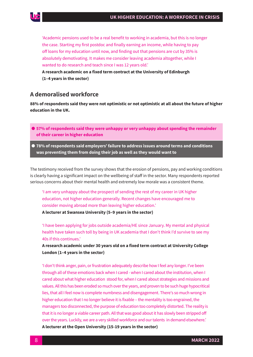

'Academic pensions used to be a real benefit to working in academia, but this is no longer the case. Starting my first postdoc and finally earning an income, while having to pay off loans for my education until now, and finding out that pensions are cut by 35% is absolutely demotivating. It makes me consider leaving academia altogether, while I wanted to do research and teach since I was 12 years old.'

**A research academic on a fixed term contract at the University of Edinburgh (1–4 years in the sector)**

### **A demoralised workforce**

**88% of respondents said they were not optimistic or not optimistic at all about the future of higher education in the UK.** 

- l **57% of respondents said they were unhappy or very unhappy about spending the remainder of their career in higher education**
- l **78% of respondents said employers' failure to address issues around terms and conditions was preventing them from doing their job as well as they would want to**

The testimony received from the survey shows that the erosion of pensions, pay and working conditions is clearly having a significant impact on the wellbeing of staff in the sector. Many respondents reported serious concerns about their mental health and extremely low morale was a consistent theme.

'I am very unhappy about the prospect of sending the rest of my career in UK higher education, not higher education generally. Recent changes have encouraged me to consider moving abroad more than leaving higher education.'

**A lecturer at Swansea University (5–9 years in the sector)**

'I have been applying for jobs outside academia/HE since January. My mental and physical health have taken such toll by being in UK academia that I don't think I'd survive to see my 40s if this continues.'

**A research academic under 30 years old on a fixed term contract at University College London (1–4 years in the sector)**

'I don't think anger, pain, or frustration adequately describe how I feel any longer. I've been through all of these emotions back when I cared - when I cared about the institution, when I cared about what higher education stood for, when I cared about strategies and missions and values. All this has been eroded so much over the years, and proven to be such huge hypocritical lies, that all I feel now is complete numbness and disengagement. There's so much wrong in higher education that I no longer believe it is fixable – the mentality is too engrained, the managers too disconnected, the purpose of education too completely distorted. The reality is that it is no longer a viable career path. All that was good about it has slowly been stripped off over the years. Luckily, we are a very skilled workforce and our talents in demand elsewhere.' **A lecturer at the Open University (15-19 years in the sector)**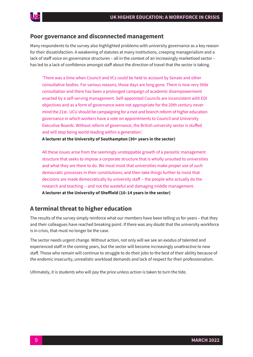#### **Poor governance and disconnected management**

Many respondents to the survey also highlighted problems with university governance as a key reason for their dissatisfaction. A weakening of statutes at many institutions, creeping managerialism and a lack of staff voice on governance structures – all in the context of an increasingly marketised sector – has led to a lack of confidence amongst staff about the direction of travel that the sector is taking.

'There was a time when Council and VCs could be held to account by Senate and other consultative bodies. For various reasons, those days are long gone. There is now very little consultation and there has been a prolonged campaign of academic disempowerment enacted by a self-serving management. Self-appointed Councils are inconsistent with EDI objectives and as a form of governance were not appropriate for the 20th century never mind the 21st. UCU should be campaigning for a root and branch reform of higher education governance in which workers have a vote on appointments to Council and University Executive Boards. Without reform of governance, the British university sector is stuffed and will stop being world-leading within a generation.'

**A lecturer at the University of Southampton (30+ years in the sector)**

All these issues arise from the seemingly unstoppable growth of a parasitic management structure that seeks to impose a corporate structure that is wholly unsuited to universities and what they are there to do. We must insist that universities make proper use of such democratic processes in their constitutions; and then take things further to insist that decisions are made democratically by university staff -- the people who actually do the research and teaching -- and not the wasteful and damaging middle management. **A lecturer at the University of Sheffield (10–14 years in the sector)**

#### **A terminal threat to higher education**

The results of the survey simply reinforce what our members have been telling us for years – that they and their colleagues have reached breaking point. If there was any doubt that the university workforce is in crisis, that must no longer be the case.

The sector needs urgent change. Without action, not only will we see an exodus of talented and experienced staff in the coming years, but the sector will become increasingly unattractive to new staff. Those who remain will continue to struggle to do their jobs to the best of their ability because of the endemic insecurity, unrealistic workload demands and lack of respect for their professionalism.

Ultimately, it is students who will pay the price unless action is taken to turn the tide.